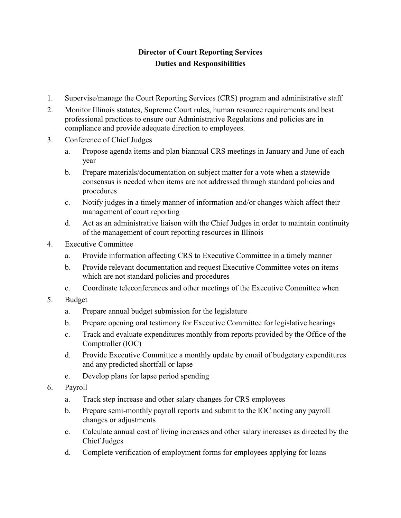## **Director of Court Reporting Services Duties and Responsibilities**

- 1. Supervise/manage the Court Reporting Services (CRS) program and administrative staff
- 2. Monitor Illinois statutes, Supreme Court rules, human resource requirements and best professional practices to ensure our Administrative Regulations and policies are in compliance and provide adequate direction to employees.
- 3. Conference of Chief Judges
	- a. Propose agenda items and plan biannual CRS meetings in January and June of each year
	- b. Prepare materials/documentation on subject matter for a vote when a statewide consensus is needed when items are not addressed through standard policies and procedures
	- c. Notify judges in a timely manner of information and/or changes which affect their management of court reporting
	- d. Act as an administrative liaison with the Chief Judges in order to maintain continuity of the management of court reporting resources in Illinois
- 4. Executive Committee
	- a. Provide information affecting CRS to Executive Committee in a timely manner
	- b. Provide relevant documentation and request Executive Committee votes on items which are not standard policies and procedures
	- c. Coordinate teleconferences and other meetings of the Executive Committee when
- 5. Budget
	- a. Prepare annual budget submission for the legislature
	- b. Prepare opening oral testimony for Executive Committee for legislative hearings
	- c. Track and evaluate expenditures monthly from reports provided by the Office of the Comptroller (IOC)
	- d. Provide Executive Committee a monthly update by email of budgetary expenditures and any predicted shortfall or lapse
	- e. Develop plans for lapse period spending
- 6. Payroll
	- a. Track step increase and other salary changes for CRS employees
	- b. Prepare semi-monthly payroll reports and submit to the IOC noting any payroll changes or adjustments
	- c. Calculate annual cost of living increases and other salary increases as directed by the Chief Judges
	- d. Complete verification of employment forms for employees applying for loans